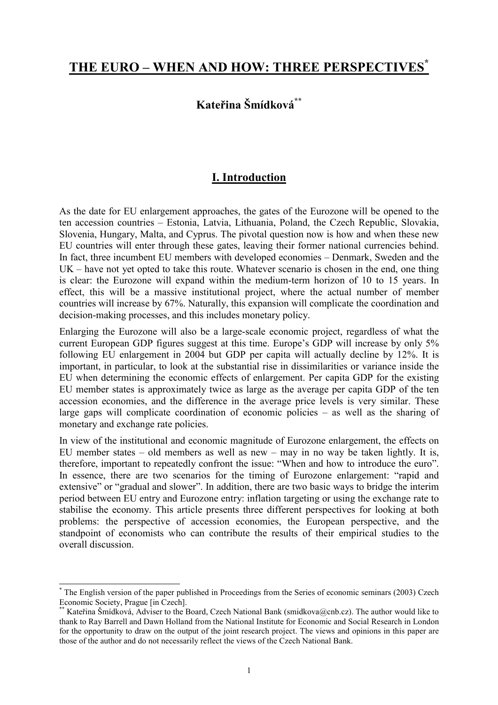# **THE EURO – WHEN AND HOW: THREE PERSPECTIVES\***

## **Kateřina Šmídková\*\***

### **I. Introduction**

As the date for EU enlargement approaches, the gates of the Eurozone will be opened to the ten accession countries – Estonia, Latvia, Lithuania, Poland, the Czech Republic, Slovakia, Slovenia, Hungary, Malta, and Cyprus. The pivotal question now is how and when these new EU countries will enter through these gates, leaving their former national currencies behind. In fact, three incumbent EU members with developed economies – Denmark, Sweden and the UK – have not yet opted to take this route. Whatever scenario is chosen in the end, one thing is clear: the Eurozone will expand within the medium-term horizon of 10 to 15 years. In effect, this will be a massive institutional project, where the actual number of member countries will increase by 67%. Naturally, this expansion will complicate the coordination and decision-making processes, and this includes monetary policy.

Enlarging the Eurozone will also be a large-scale economic project, regardless of what the current European GDP figures suggest at this time. Europe's GDP will increase by only 5% following EU enlargement in 2004 but GDP per capita will actually decline by 12%. It is important, in particular, to look at the substantial rise in dissimilarities or variance inside the EU when determining the economic effects of enlargement. Per capita GDP for the existing EU member states is approximately twice as large as the average per capita GDP of the ten accession economies, and the difference in the average price levels is very similar. These large gaps will complicate coordination of economic policies – as well as the sharing of monetary and exchange rate policies.

In view of the institutional and economic magnitude of Eurozone enlargement, the effects on EU member states – old members as well as new – may in no way be taken lightly. It is, therefore, important to repeatedly confront the issue: "When and how to introduce the euro". In essence, there are two scenarios for the timing of Eurozone enlargement: "rapid and extensive" or "gradual and slower". In addition, there are two basic ways to bridge the interim period between EU entry and Eurozone entry: inflation targeting or using the exchange rate to stabilise the economy. This article presents three different perspectives for looking at both problems: the perspective of accession economies, the European perspective, and the standpoint of economists who can contribute the results of their empirical studies to the overall discussion.

l

<sup>\*</sup> The English version of the paper published in Proceedings from the Series of economic seminars (2003) Czech Economic Society, Prague [in Czech].

Kateřina Šmídková, Adviser to the Board, Czech National Bank (smidkova@cnb.cz). The author would like to thank to Ray Barrell and Dawn Holland from the National Institute for Economic and Social Research in London for the opportunity to draw on the output of the joint research project. The views and opinions in this paper are those of the author and do not necessarily reflect the views of the Czech National Bank.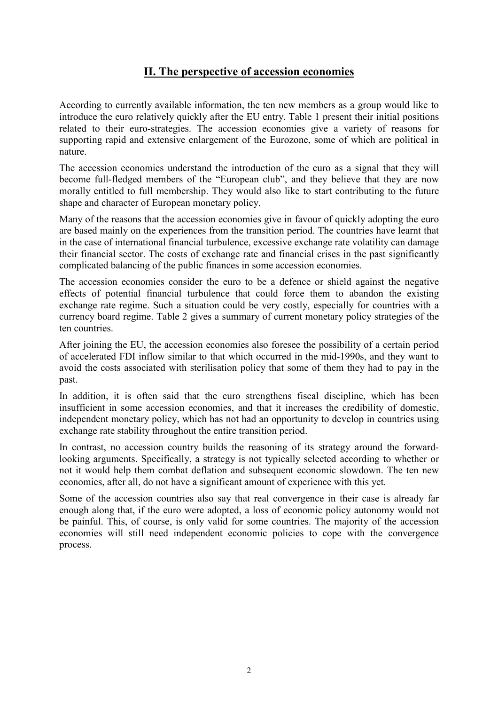### **II. The perspective of accession economies**

According to currently available information, the ten new members as a group would like to introduce the euro relatively quickly after the EU entry. Table 1 present their initial positions related to their euro-strategies. The accession economies give a variety of reasons for supporting rapid and extensive enlargement of the Eurozone, some of which are political in nature.

The accession economies understand the introduction of the euro as a signal that they will become full-fledged members of the "European club", and they believe that they are now morally entitled to full membership. They would also like to start contributing to the future shape and character of European monetary policy.

Many of the reasons that the accession economies give in favour of quickly adopting the euro are based mainly on the experiences from the transition period. The countries have learnt that in the case of international financial turbulence, excessive exchange rate volatility can damage their financial sector. The costs of exchange rate and financial crises in the past significantly complicated balancing of the public finances in some accession economies.

The accession economies consider the euro to be a defence or shield against the negative effects of potential financial turbulence that could force them to abandon the existing exchange rate regime. Such a situation could be very costly, especially for countries with a currency board regime. Table 2 gives a summary of current monetary policy strategies of the ten countries.

After joining the EU, the accession economies also foresee the possibility of a certain period of accelerated FDI inflow similar to that which occurred in the mid-1990s, and they want to avoid the costs associated with sterilisation policy that some of them they had to pay in the past.

In addition, it is often said that the euro strengthens fiscal discipline, which has been insufficient in some accession economies, and that it increases the credibility of domestic, independent monetary policy, which has not had an opportunity to develop in countries using exchange rate stability throughout the entire transition period.

In contrast, no accession country builds the reasoning of its strategy around the forwardlooking arguments. Specifically, a strategy is not typically selected according to whether or not it would help them combat deflation and subsequent economic slowdown. The ten new economies, after all, do not have a significant amount of experience with this yet.

Some of the accession countries also say that real convergence in their case is already far enough along that, if the euro were adopted, a loss of economic policy autonomy would not be painful. This, of course, is only valid for some countries. The majority of the accession economies will still need independent economic policies to cope with the convergence process.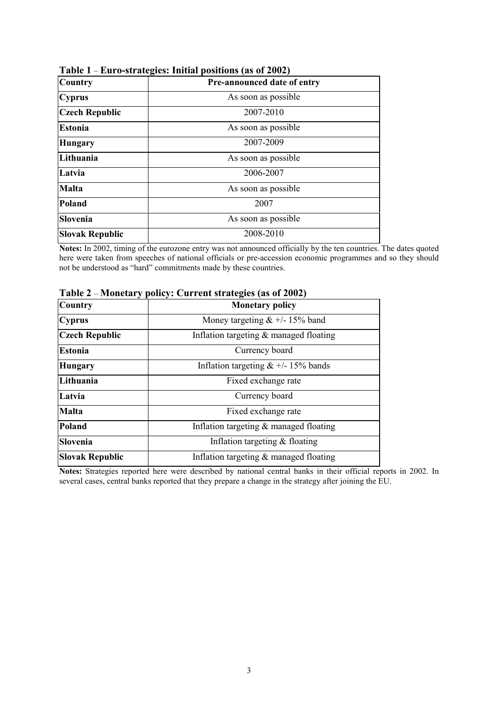| <b>Country</b>         | Pre-announced date of entry |  |  |
|------------------------|-----------------------------|--|--|
| <b>Cyprus</b>          | As soon as possible         |  |  |
| <b>Czech Republic</b>  | 2007-2010                   |  |  |
| <b>Estonia</b>         | As soon as possible         |  |  |
| <b>Hungary</b>         | 2007-2009                   |  |  |
| Lithuania              | As soon as possible         |  |  |
| Latvia                 | 2006-2007                   |  |  |
| <b>Malta</b>           | As soon as possible         |  |  |
| Poland                 | 2007                        |  |  |
| Slovenia               | As soon as possible         |  |  |
| <b>Slovak Republic</b> | 2008-2010                   |  |  |

**Table 1** – **Euro-strategies: Initial positions (as of 2002)**

**Notes:** In 2002, timing of the eurozone entry was not announced officially by the ten countries. The dates quoted here were taken from speeches of national officials or pre-accession economic programmes and so they should not be understood as "hard" commitments made by these countries.

| $1.10$ nearly pointy. Our realization provides the $0.1200$ |  |  |
|-------------------------------------------------------------|--|--|
| <b>Monetary policy</b>                                      |  |  |
| Money targeting $& 4/- 15\%$ band                           |  |  |
| Inflation targeting $&$ managed floating                    |  |  |
| Currency board                                              |  |  |
| Inflation targeting $& 4/- 15\%$ bands                      |  |  |
| Fixed exchange rate                                         |  |  |
| Currency board                                              |  |  |
| Fixed exchange rate                                         |  |  |
| Inflation targeting $\&$ managed floating                   |  |  |
| Inflation targeting $&$ floating                            |  |  |
| Inflation targeting $&$ managed floating                    |  |  |
|                                                             |  |  |

**Table 2** – **Monetary policy: Current strategies (as of 2002)**

**Notes:** Strategies reported here were described by national central banks in their official reports in 2002. In several cases, central banks reported that they prepare a change in the strategy after joining the EU.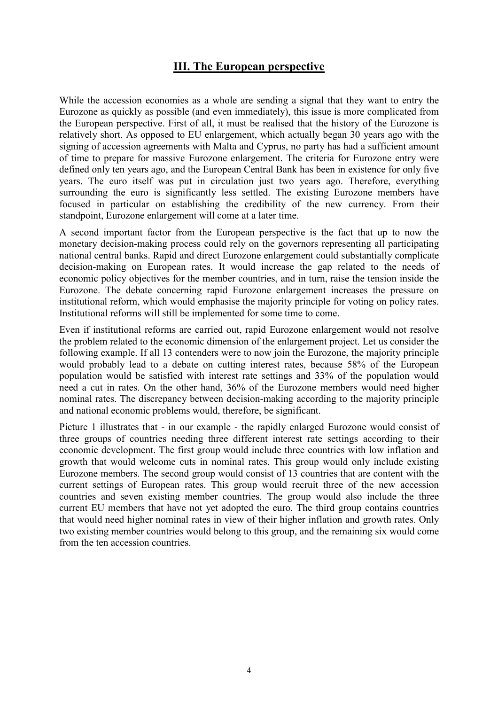### **III. The European perspective**

While the accession economies as a whole are sending a signal that they want to entry the Eurozone as quickly as possible (and even immediately), this issue is more complicated from the European perspective. First of all, it must be realised that the history of the Eurozone is relatively short. As opposed to EU enlargement, which actually began 30 years ago with the signing of accession agreements with Malta and Cyprus, no party has had a sufficient amount of time to prepare for massive Eurozone enlargement. The criteria for Eurozone entry were defined only ten years ago, and the European Central Bank has been in existence for only five years. The euro itself was put in circulation just two years ago. Therefore, everything surrounding the euro is significantly less settled. The existing Eurozone members have focused in particular on establishing the credibility of the new currency. From their standpoint, Eurozone enlargement will come at a later time.

A second important factor from the European perspective is the fact that up to now the monetary decision-making process could rely on the governors representing all participating national central banks. Rapid and direct Eurozone enlargement could substantially complicate decision-making on European rates. It would increase the gap related to the needs of economic policy objectives for the member countries, and in turn, raise the tension inside the Eurozone. The debate concerning rapid Eurozone enlargement increases the pressure on institutional reform, which would emphasise the majority principle for voting on policy rates. Institutional reforms will still be implemented for some time to come.

Even if institutional reforms are carried out, rapid Eurozone enlargement would not resolve the problem related to the economic dimension of the enlargement project. Let us consider the following example. If all 13 contenders were to now join the Eurozone, the majority principle would probably lead to a debate on cutting interest rates, because 58% of the European population would be satisfied with interest rate settings and 33% of the population would need a cut in rates. On the other hand, 36% of the Eurozone members would need higher nominal rates. The discrepancy between decision-making according to the majority principle and national economic problems would, therefore, be significant.

Picture 1 illustrates that - in our example - the rapidly enlarged Eurozone would consist of three groups of countries needing three different interest rate settings according to their economic development. The first group would include three countries with low inflation and growth that would welcome cuts in nominal rates. This group would only include existing Eurozone members. The second group would consist of 13 countries that are content with the current settings of European rates. This group would recruit three of the new accession countries and seven existing member countries. The group would also include the three current EU members that have not yet adopted the euro. The third group contains countries that would need higher nominal rates in view of their higher inflation and growth rates. Only two existing member countries would belong to this group, and the remaining six would come from the ten accession countries.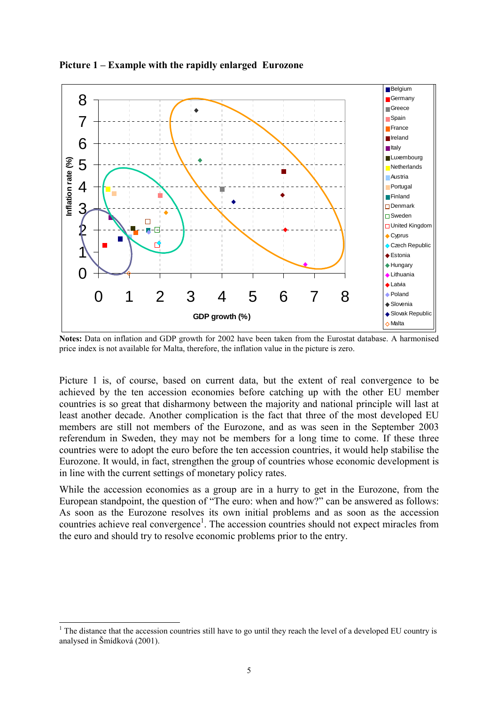

**Picture 1 – Example with the rapidly enlarged Eurozone**

**Notes:** Data on inflation and GDP growth for 2002 have been taken from the Eurostat database. A harmonised price index is not available for Malta, therefore, the inflation value in the picture is zero.

Picture 1 is, of course, based on current data, but the extent of real convergence to be achieved by the ten accession economies before catching up with the other EU member countries is so great that disharmony between the majority and national principle will last at least another decade. Another complication is the fact that three of the most developed EU members are still not members of the Eurozone, and as was seen in the September 2003 referendum in Sweden, they may not be members for a long time to come. If these three countries were to adopt the euro before the ten accession countries, it would help stabilise the Eurozone. It would, in fact, strengthen the group of countries whose economic development is in line with the current settings of monetary policy rates.

While the accession economies as a group are in a hurry to get in the Eurozone, from the European standpoint, the question of "The euro: when and how?" can be answered as follows: As soon as the Eurozone resolves its own initial problems and as soon as the accession countries achieve real convergence<sup>1</sup>. The accession countries should not expect miracles from the euro and should try to resolve economic problems prior to the entry.

l

 $1$  The distance that the accession countries still have to go until they reach the level of a developed EU country is analysed in Šmídková (2001).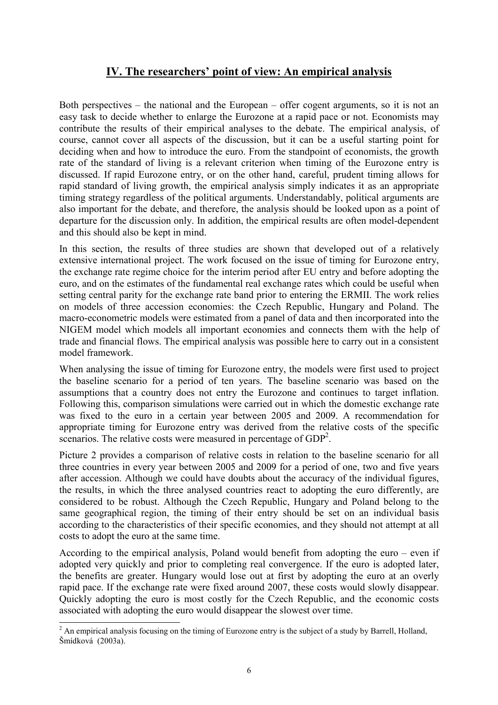### **IV. The researchers' point of view: An empirical analysis**

Both perspectives – the national and the European – offer cogent arguments, so it is not an easy task to decide whether to enlarge the Eurozone at a rapid pace or not. Economists may contribute the results of their empirical analyses to the debate. The empirical analysis, of course, cannot cover all aspects of the discussion, but it can be a useful starting point for deciding when and how to introduce the euro. From the standpoint of economists, the growth rate of the standard of living is a relevant criterion when timing of the Eurozone entry is discussed. If rapid Eurozone entry, or on the other hand, careful, prudent timing allows for rapid standard of living growth, the empirical analysis simply indicates it as an appropriate timing strategy regardless of the political arguments. Understandably, political arguments are also important for the debate, and therefore, the analysis should be looked upon as a point of departure for the discussion only. In addition, the empirical results are often model-dependent and this should also be kept in mind.

In this section, the results of three studies are shown that developed out of a relatively extensive international project. The work focused on the issue of timing for Eurozone entry, the exchange rate regime choice for the interim period after EU entry and before adopting the euro, and on the estimates of the fundamental real exchange rates which could be useful when setting central parity for the exchange rate band prior to entering the ERMII. The work relies on models of three accession economies: the Czech Republic, Hungary and Poland. The macro-econometric models were estimated from a panel of data and then incorporated into the NIGEM model which models all important economies and connects them with the help of trade and financial flows. The empirical analysis was possible here to carry out in a consistent model framework.

When analysing the issue of timing for Eurozone entry, the models were first used to project the baseline scenario for a period of ten years. The baseline scenario was based on the assumptions that a country does not entry the Eurozone and continues to target inflation. Following this, comparison simulations were carried out in which the domestic exchange rate was fixed to the euro in a certain year between 2005 and 2009. A recommendation for appropriate timing for Eurozone entry was derived from the relative costs of the specific scenarios. The relative costs were measured in percentage of GDP<sup>2</sup>.

Picture 2 provides a comparison of relative costs in relation to the baseline scenario for all three countries in every year between 2005 and 2009 for a period of one, two and five years after accession. Although we could have doubts about the accuracy of the individual figures, the results, in which the three analysed countries react to adopting the euro differently, are considered to be robust. Although the Czech Republic, Hungary and Poland belong to the same geographical region, the timing of their entry should be set on an individual basis according to the characteristics of their specific economies, and they should not attempt at all costs to adopt the euro at the same time.

According to the empirical analysis, Poland would benefit from adopting the euro – even if adopted very quickly and prior to completing real convergence. If the euro is adopted later, the benefits are greater. Hungary would lose out at first by adopting the euro at an overly rapid pace. If the exchange rate were fixed around 2007, these costs would slowly disappear. Quickly adopting the euro is most costly for the Czech Republic, and the economic costs associated with adopting the euro would disappear the slowest over time.

<sup>&</sup>lt;sup>2</sup> An empirical analysis focusing on the timing of Eurozone entry is the subject of a study by Barrell, Holland, Šmídková (2003a).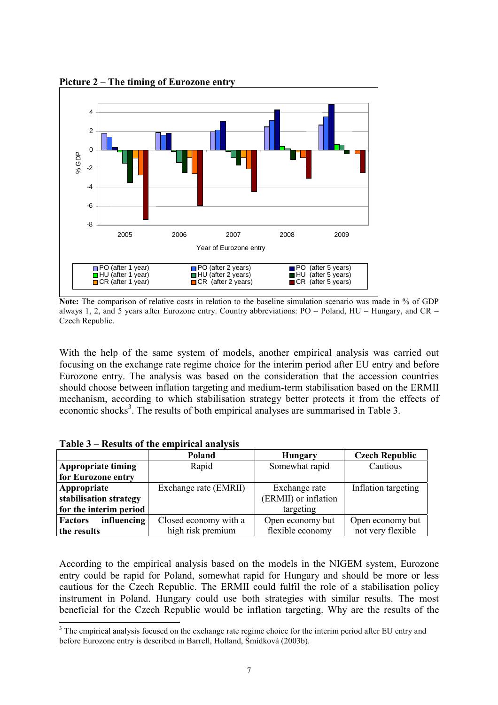

**Picture 2 – The timing of Eurozone entry**

**Note:** The comparison of relative costs in relation to the baseline simulation scenario was made in % of GDP always 1, 2, and 5 years after Eurozone entry. Country abbreviations:  $PO =$  Poland,  $HU =$  Hungary, and  $CR =$ Czech Republic.

With the help of the same system of models, another empirical analysis was carried out focusing on the exchange rate regime choice for the interim period after EU entry and before Eurozone entry. The analysis was based on the consideration that the accession countries should choose between inflation targeting and medium-term stabilisation based on the ERMII mechanism, according to which stabilisation strategy better protects it from the effects of economic shocks<sup>3</sup>. The results of both empirical analyses are summarised in Table 3.

| $1$ avit $3$ – Results of the chiplifical analysis |                       |                      |                       |  |  |
|----------------------------------------------------|-----------------------|----------------------|-----------------------|--|--|
|                                                    | Poland                | <b>Hungary</b>       | <b>Czech Republic</b> |  |  |
| <b>Appropriate timing</b>                          | Rapid                 | Somewhat rapid       | Cautious              |  |  |
| for Eurozone entry                                 |                       |                      |                       |  |  |
| Appropriate                                        | Exchange rate (EMRII) | Exchange rate        | Inflation targeting   |  |  |
| stabilisation strategy                             |                       | (ERMII) or inflation |                       |  |  |
| for the interim period                             |                       | targeting            |                       |  |  |
| influencing<br><b>Factors</b>                      | Closed economy with a | Open economy but     | Open economy but      |  |  |
| the results                                        | high risk premium     | flexible economy     | not very flexible     |  |  |

**Table 3 – Results of the empirical analysis**

l

According to the empirical analysis based on the models in the NIGEM system, Eurozone entry could be rapid for Poland, somewhat rapid for Hungary and should be more or less cautious for the Czech Republic. The ERMII could fulfil the role of a stabilisation policy instrument in Poland. Hungary could use both strategies with similar results. The most beneficial for the Czech Republic would be inflation targeting. Why are the results of the

<sup>&</sup>lt;sup>3</sup> The empirical analysis focused on the exchange rate regime choice for the interim period after EU entry and before Eurozone entry is described in Barrell, Holland, Šmídková (2003b).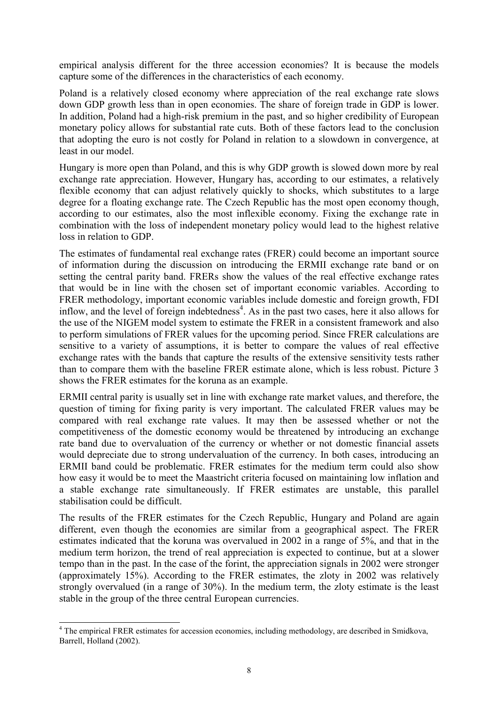empirical analysis different for the three accession economies? It is because the models capture some of the differences in the characteristics of each economy.

Poland is a relatively closed economy where appreciation of the real exchange rate slows down GDP growth less than in open economies. The share of foreign trade in GDP is lower. In addition, Poland had a high-risk premium in the past, and so higher credibility of European monetary policy allows for substantial rate cuts. Both of these factors lead to the conclusion that adopting the euro is not costly for Poland in relation to a slowdown in convergence, at least in our model.

Hungary is more open than Poland, and this is why GDP growth is slowed down more by real exchange rate appreciation. However, Hungary has, according to our estimates, a relatively flexible economy that can adjust relatively quickly to shocks, which substitutes to a large degree for a floating exchange rate. The Czech Republic has the most open economy though, according to our estimates, also the most inflexible economy. Fixing the exchange rate in combination with the loss of independent monetary policy would lead to the highest relative loss in relation to GDP.

The estimates of fundamental real exchange rates (FRER) could become an important source of information during the discussion on introducing the ERMII exchange rate band or on setting the central parity band. FRERs show the values of the real effective exchange rates that would be in line with the chosen set of important economic variables. According to FRER methodology, important economic variables include domestic and foreign growth, FDI inflow, and the level of foreign indebtedness<sup>4</sup>. As in the past two cases, here it also allows for the use of the NIGEM model system to estimate the FRER in a consistent framework and also to perform simulations of FRER values for the upcoming period. Since FRER calculations are sensitive to a variety of assumptions, it is better to compare the values of real effective exchange rates with the bands that capture the results of the extensive sensitivity tests rather than to compare them with the baseline FRER estimate alone, which is less robust. Picture 3 shows the FRER estimates for the koruna as an example.

ERMII central parity is usually set in line with exchange rate market values, and therefore, the question of timing for fixing parity is very important. The calculated FRER values may be compared with real exchange rate values. It may then be assessed whether or not the competitiveness of the domestic economy would be threatened by introducing an exchange rate band due to overvaluation of the currency or whether or not domestic financial assets would depreciate due to strong undervaluation of the currency. In both cases, introducing an ERMII band could be problematic. FRER estimates for the medium term could also show how easy it would be to meet the Maastricht criteria focused on maintaining low inflation and a stable exchange rate simultaneously. If FRER estimates are unstable, this parallel stabilisation could be difficult.

The results of the FRER estimates for the Czech Republic, Hungary and Poland are again different, even though the economies are similar from a geographical aspect. The FRER estimates indicated that the koruna was overvalued in 2002 in a range of 5%, and that in the medium term horizon, the trend of real appreciation is expected to continue, but at a slower tempo than in the past. In the case of the forint, the appreciation signals in 2002 were stronger (approximately 15%). According to the FRER estimates, the zloty in 2002 was relatively strongly overvalued (in a range of 30%). In the medium term, the zloty estimate is the least stable in the group of the three central European currencies.

l

<sup>&</sup>lt;sup>4</sup> The empirical FRER estimates for accession economies, including methodology, are described in Smidkova, Barrell, Holland (2002).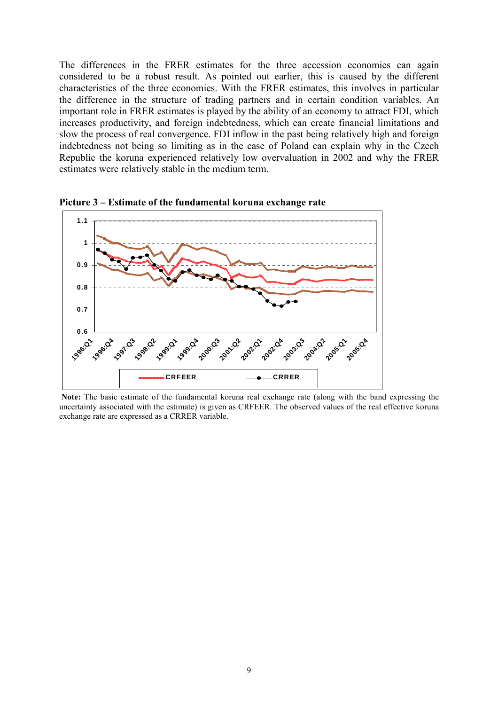The differences in the FRER estimates for the three accession economies can again considered to be a robust result. As pointed out earlier, this is caused by the different characteristics of the three economies. With the FRER estimates, this involves in particular the difference in the structure of trading partners and in certain condition variables. An important role in FRER estimates is played by the ability of an economy to attract FDI, which increases productivity, and foreign indebtedness, which can create financial limitations and slow the process of real convergence. FDI inflow in the past being relatively high and foreign indebtedness not being so limiting as in the case of Poland can explain why in the Czech Republic the koruna experienced relatively low overvaluation in 2002 and why the FRER estimates were relatively stable in the medium term.



**Picture 3 – Estimate of the fundamental koruna exchange rate**

 **Note:** The basic estimate of the fundamental koruna real exchange rate (along with the band expressing the uncertainty associated with the estimate) is given as CRFEER. The observed values of the real effective koruna exchange rate are expressed as a CRRER variable.